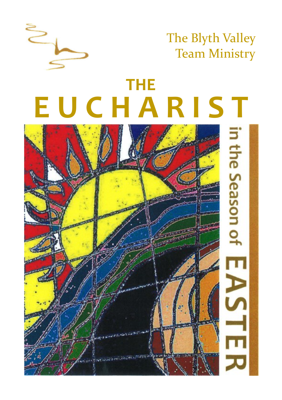

# **E U C H A R I S T THE**

 $\geq$ 

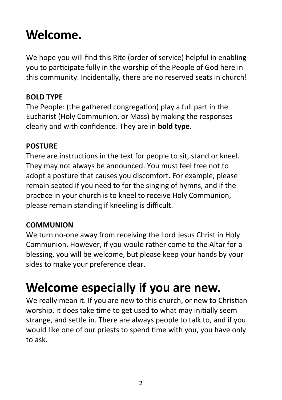# **Welcome.**

We hope you will find this Rite (order of service) helpful in enabling you to participate fully in the worship of the People of God here in this community. Incidentally, there are no reserved seats in church!

#### **BOLD TYPE**

The People: (the gathered congregation) play a full part in the Eucharist (Holy Communion, or Mass) by making the responses clearly and with confidence. They are in **bold type**.

#### **POSTURE**

There are instructions in the text for people to sit, stand or kneel. They may not always be announced. You must feel free not to adopt a posture that causes you discomfort. For example, please remain seated if you need to for the singing of hymns, and if the practice in your church is to kneel to receive Holy Communion, please remain standing if kneeling is difficult.

#### **COMMUNION**

We turn no-one away from receiving the Lord Jesus Christ in Holy Communion. However, if you would rather come to the Altar for a blessing, you will be welcome, but please keep your hands by your sides to make your preference clear.

# **Welcome especially if you are new.**

We really mean it. If you are new to this church, or new to Christian worship, it does take time to get used to what may initially seem strange, and settle in. There are always people to talk to, and if you would like one of our priests to spend time with you, you have only to ask.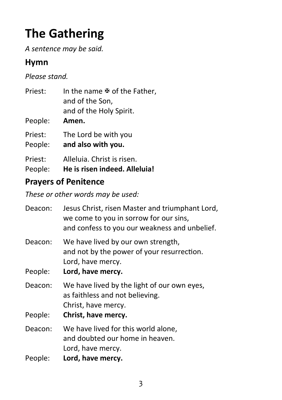# **The Gathering**

*A sentence may be said.*

### **Hymn**

*Please stand.*

| Priest: | In the name $\Phi$ of the Father, |
|---------|-----------------------------------|
|         | and of the Son,                   |
|         | and of the Holy Spirit.           |

- People: **Amen.**
- Priest: The Lord be with you
- People: **and also with you.**
- Priest: Alleluia. Christ is risen.
- People: **He is risen indeed. Alleluia!**

### **Prayers of Penitence**

*These or other words may be used:*

| Deacon: | Jesus Christ, risen Master and triumphant Lord,<br>we come to you in sorrow for our sins,<br>and confess to you our weakness and unbelief. |
|---------|--------------------------------------------------------------------------------------------------------------------------------------------|
| Deacon: | We have lived by our own strength,<br>and not by the power of your resurrection.<br>Lord, have mercy.                                      |
| People: | Lord, have mercy.                                                                                                                          |
| Deacon: | We have lived by the light of our own eyes,<br>as faithless and not believing.<br>Christ, have mercy.                                      |
| People: | Christ, have mercy.                                                                                                                        |
| Deacon: | We have lived for this world alone,<br>and doubted our home in heaven.<br>Lord, have mercy.                                                |
| People: | Lord, have mercy.                                                                                                                          |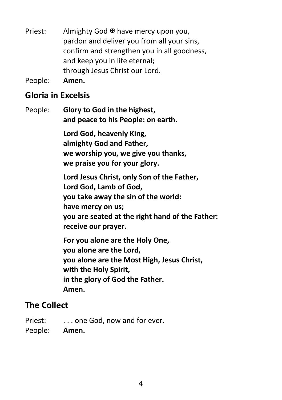Priest: Almighty God  $\overline{\mathfrak{B}}$  have mercy upon you, pardon and deliver you from all your sins, confirm and strengthen you in all goodness, and keep you in life eternal; through Jesus Christ our Lord.

People: **Amen.**

### **Gloria in Excelsis**

People: **Glory to God in the highest, and peace to his People: on earth.**

> **Lord God, heavenly King, almighty God and Father, we worship you, we give you thanks, we praise you for your glory.**

**Lord Jesus Christ, only Son of the Father, Lord God, Lamb of God, you take away the sin of the world: have mercy on us; you are seated at the right hand of the Father: receive our prayer.**

**For you alone are the Holy One, you alone are the Lord, you alone are the Most High, Jesus Christ, with the Holy Spirit, in the glory of God the Father. Amen.**

### **The Collect**

Priest: . . . . one God, now and for ever.

People: **Amen.**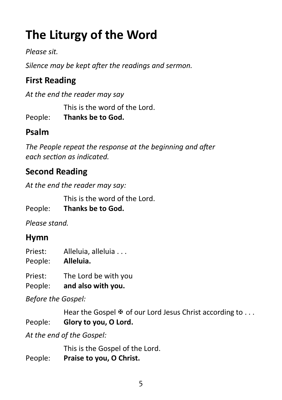# **The Liturgy of the Word**

*Please sit.*

*Silence may be kept after the readings and sermon.*

# **First Reading**

*At the end the reader may say* 

This is the word of the Lord.

People: **Thanks be to God.**

## **Psalm**

*The People repeat the response at the beginning and after each section as indicated.*

# **Second Reading**

*At the end the reader may say:*

This is the word of the Lord.

People: **Thanks be to God.**

*Please stand.*

### **Hymn**

- Priest: Alleluia, alleluia . . .
- People: **Alleluia.**

Priest: The Lord be with you

People: **and also with you.**

*Before the Gospel:*

Hear the Gospel  $\mathfrak{B}$  of our Lord Jesus Christ according to ... People: **Glory to you, O Lord.**

*At the end of the Gospel:*

This is the Gospel of the Lord.

People: **Praise to you, O Christ.**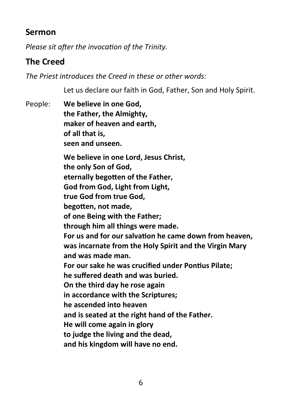### **Sermon**

*Please sit after the invocation of the Trinity.*

### **The Creed**

*The Priest introduces the Creed in these or other words:*

Let us declare our faith in God, Father, Son and Holy Spirit.

People: **We believe in one God, the Father, the Almighty, maker of heaven and earth, of all that is, seen and unseen. We believe in one Lord, Jesus Christ, the only Son of God, eternally begotten of the Father, God from God, Light from Light, true God from true God, begotten, not made, of one Being with the Father; through him all things were made. For us and for our salvation he came down from heaven, was incarnate from the Holy Spirit and the Virgin Mary and was made man. For our sake he was crucified under Pontius Pilate; he suffered death and was buried. On the third day he rose again in accordance with the Scriptures; he ascended into heaven and is seated at the right hand of the Father. He will come again in glory to judge the living and the dead, and his kingdom will have no end.**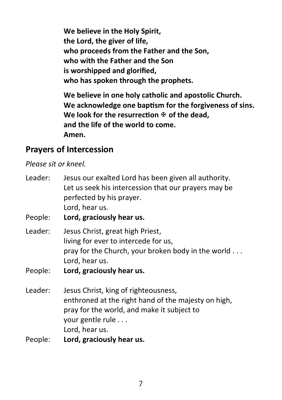**We believe in the Holy Spirit, the Lord, the giver of life, who proceeds from the Father and the Son, who with the Father and the Son is worshipped and glorified, who has spoken through the prophets.**

**We believe in one holy catholic and apostolic Church. We acknowledge one baptism for the forgiveness of sins. We look for the resurrection**  $\Phi$  **of the dead. and the life of the world to come. Amen.** 

### **Prayers of Intercession**

*Please sit or kneel.*

| Leader:<br>People: | Jesus our exalted Lord has been given all authority.<br>Let us seek his intercession that our prayers may be<br>perfected by his prayer.<br>Lord, hear us.<br>Lord, graciously hear us. |
|--------------------|-----------------------------------------------------------------------------------------------------------------------------------------------------------------------------------------|
|                    |                                                                                                                                                                                         |
| Leader:            | Jesus Christ, great high Priest,                                                                                                                                                        |
|                    | living for ever to intercede for us,                                                                                                                                                    |
|                    | pray for the Church, your broken body in the world                                                                                                                                      |
|                    | Lord, hear us.                                                                                                                                                                          |
| People:            | Lord, graciously hear us.                                                                                                                                                               |
| Leader:            | Jesus Christ, king of righteousness,                                                                                                                                                    |
|                    | enthroned at the right hand of the majesty on high,                                                                                                                                     |
|                    | pray for the world, and make it subject to                                                                                                                                              |
|                    | your gentle rule                                                                                                                                                                        |
|                    | Lord, hear us.                                                                                                                                                                          |
| People:            | Lord, graciously hear us.                                                                                                                                                               |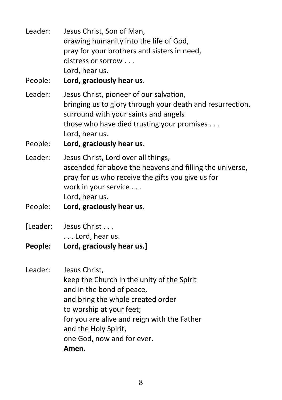Leader: Jesus Christ, Son of Man, drawing humanity into the life of God, pray for your brothers and sisters in need, distress or sorrow . . . Lord, hear us. People: **Lord, graciously hear us.** Leader: Jesus Christ, pioneer of our salvation, bringing us to glory through your death and resurrection, surround with your saints and angels those who have died trusting your promises . . . Lord, hear us. People: **Lord, graciously hear us.** Leader: Jesus Christ, Lord over all things, ascended far above the heavens and filling the universe, pray for us who receive the gifts you give us for work in your service . . . Lord, hear us. People: **Lord, graciously hear us.** [Leader: Jesus Christ . . . . . . Lord, hear us. **People: Lord, graciously hear us.]** Leader: Jesus Christ, keep the Church in the unity of the Spirit and in the bond of peace, and bring the whole created order to worship at your feet; for you are alive and reign with the Father and the Holy Spirit, one God, now and for ever.

**Amen.**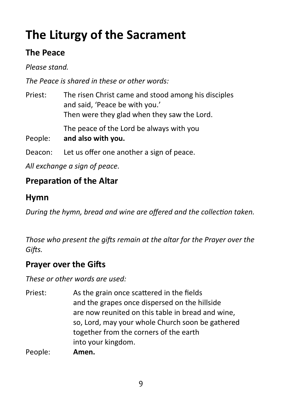# **The Liturgy of the Sacrament**

### **The Peace**

*Please stand.*

*The Peace is shared in these or other words:*

Priest: The risen Christ came and stood among his disciples and said, 'Peace be with you.' Then were they glad when they saw the Lord.

The peace of the Lord be always with you

- People: **and also with you.**
- Deacon: Let us offer one another a sign of peace.

*All exchange a sign of peace.*

### **Preparation of the Altar**

### **Hymn**

*During the hymn, bread and wine are offered and the collection taken.*

*Those who present the gifts remain at the altar for the Prayer over the Gifts.*

### **Prayer over the Gifts**

*These or other words are used:*

Priest: As the grain once scattered in the fields and the grapes once dispersed on the hillside are now reunited on this table in bread and wine, so, Lord, may your whole Church soon be gathered together from the corners of the earth into your kingdom.

People: **Amen.**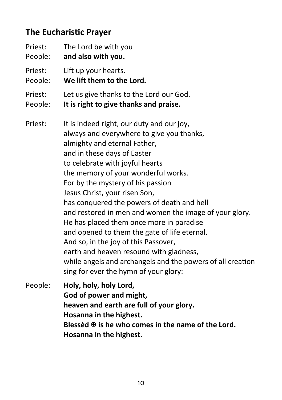### **The Eucharistic Prayer**

| Priest: | The Lord be with you                                                                                                                                                                                                                                                                                                                                                                                                                                                                                                                                                                                                                                                                                |
|---------|-----------------------------------------------------------------------------------------------------------------------------------------------------------------------------------------------------------------------------------------------------------------------------------------------------------------------------------------------------------------------------------------------------------------------------------------------------------------------------------------------------------------------------------------------------------------------------------------------------------------------------------------------------------------------------------------------------|
| People: | and also with you.                                                                                                                                                                                                                                                                                                                                                                                                                                                                                                                                                                                                                                                                                  |
| Priest: | Lift up your hearts.                                                                                                                                                                                                                                                                                                                                                                                                                                                                                                                                                                                                                                                                                |
| People: | We lift them to the Lord.                                                                                                                                                                                                                                                                                                                                                                                                                                                                                                                                                                                                                                                                           |
| Priest: | Let us give thanks to the Lord our God.                                                                                                                                                                                                                                                                                                                                                                                                                                                                                                                                                                                                                                                             |
| People: | It is right to give thanks and praise.                                                                                                                                                                                                                                                                                                                                                                                                                                                                                                                                                                                                                                                              |
| Priest: | It is indeed right, our duty and our joy,<br>always and everywhere to give you thanks,<br>almighty and eternal Father,<br>and in these days of Easter<br>to celebrate with joyful hearts<br>the memory of your wonderful works.<br>For by the mystery of his passion<br>Jesus Christ, your risen Son,<br>has conquered the powers of death and hell<br>and restored in men and women the image of your glory.<br>He has placed them once more in paradise<br>and opened to them the gate of life eternal.<br>And so, in the joy of this Passover,<br>earth and heaven resound with gladness,<br>while angels and archangels and the powers of all creation<br>sing for ever the hymn of your glory: |
| People: | Holy, holy, holy Lord,                                                                                                                                                                                                                                                                                                                                                                                                                                                                                                                                                                                                                                                                              |

**God of power and might, heaven and earth are full of your glory. Hosanna in the highest. Blessèd is he who comes in the name of the Lord. Hosanna in the highest.**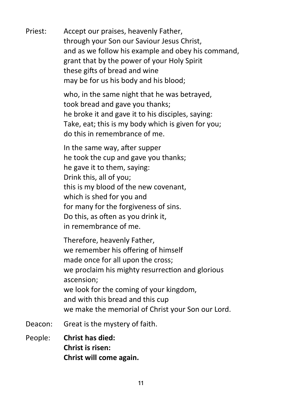Priest: Accept our praises, heavenly Father, through your Son our Saviour Jesus Christ, and as we follow his example and obey his command, grant that by the power of your Holy Spirit these gifts of bread and wine may be for us his body and his blood;

> who, in the same night that he was betrayed, took bread and gave you thanks; he broke it and gave it to his disciples, saying: Take, eat; this is my body which is given for you; do this in remembrance of me.

In the same way, after supper he took the cup and gave you thanks; he gave it to them, saying: Drink this, all of you; this is my blood of the new covenant, which is shed for you and for many for the forgiveness of sins. Do this, as often as you drink it, in remembrance of me.

Therefore, heavenly Father, we remember his offering of himself made once for all upon the cross; we proclaim his mighty resurrection and glorious ascension; we look for the coming of your kingdom, and with this bread and this cup we make the memorial of Christ your Son our Lord.

- Deacon: Great is the mystery of faith.
- People: **Christ has died: Christ is risen: Christ will come again.**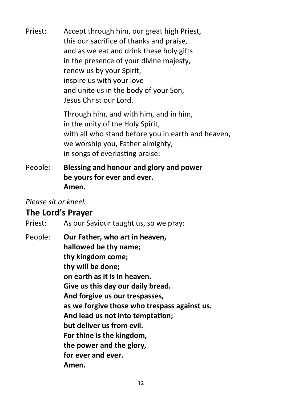Priest: Accept through him, our great high Priest, this our sacrifice of thanks and praise, and as we eat and drink these holy gifts in the presence of your divine majesty, renew us by your Spirit, inspire us with your love and unite us in the body of your Son, Jesus Christ our Lord.

> Through him, and with him, and in him, in the unity of the Holy Spirit, with all who stand before you in earth and heaven, we worship you, Father almighty, in songs of everlasting praise:

People: **Blessing and honour and glory and power be yours for ever and ever. Amen.**

*Please sit or kneel.*

#### **The Lord's Prayer**

Priest: As our Saviour taught us, so we pray:

People: **Our Father, who art in heaven, hallowed be thy name; thy kingdom come; thy will be done; on earth as it is in heaven. Give us this day our daily bread. And forgive us our trespasses, as we forgive those who trespass against us. And lead us not into temptation; but deliver us from evil. For thine is the kingdom, the power and the glory, for ever and ever. Amen.**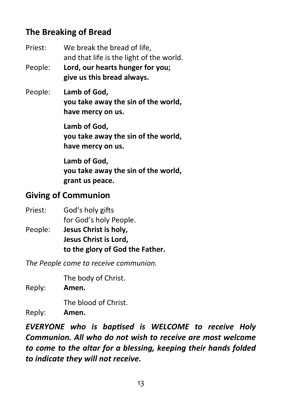### **The Breaking of Bread**

Priest: We break the bread of life, and that life is the light of the world. People: **Lord, our hearts hunger for you; give us this bread always.**

People: **Lamb of God, you take away the sin of the world, have mercy on us.**

> **Lamb of God, you take away the sin of the world, have mercy on us.**

> **Lamb of God, you take away the sin of the world, grant us peace.**

### **Giving of Communion**

- Priest: God's holy gifts for God's holy People.
- People: **Jesus Christ is holy, Jesus Christ is Lord, to the glory of God the Father.**

*The People come to receive communion.* 

The body of Christ.

Reply: **Amen.** 

The blood of Christ.

Reply: **Amen.** 

*EVERYONE who is baptised is WELCOME to receive Holy Communion. All who do not wish to receive are most welcome to come to the altar for a blessing, keeping their hands folded to indicate they will not receive.*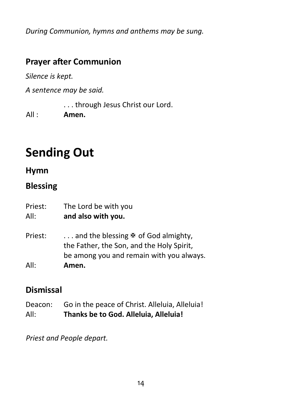*During Communion, hymns and anthems may be sung.*

### **Prayer after Communion**

*Silence is kept.*

*A sentence may be said.*

. . . through Jesus Christ our Lord.

All : **Amen.**

# **Sending Out**

### **Hymn**

### **Blessing**

Priest: The Lord be with you All: **and also with you.**

Priest:  $\ldots$  and the blessing  $\Phi$  of God almighty, the Father, the Son, and the Holy Spirit, be among you and remain with you always.

All: **Amen.**

### **Dismissal**

Deacon: Go in the peace of Christ. Alleluia, Alleluia! All: **Thanks be to God. Alleluia, Alleluia!**

*Priest and People depart.*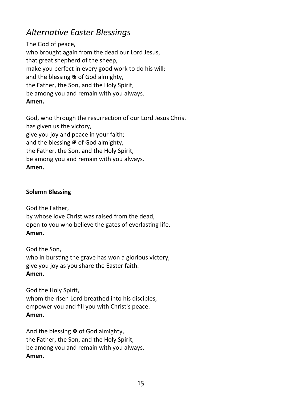### *Alternative Easter Blessings*

The God of peace, who brought again from the dead our Lord Jesus, that great shepherd of the sheep, make you perfect in every good work to do his will; and the blessing  $\mathbb F$  of God almighty, the Father, the Son, and the Holy Spirit, be among you and remain with you always. **Amen.** 

God, who through the resurrection of our Lord Jesus Christ has given us the victory, give you joy and peace in your faith; and the blessing  $\mathbb F$  of God almighty. the Father, the Son, and the Holy Spirit, be among you and remain with you always. **Amen.** 

#### **Solemn Blessing**

God the Father,

by whose love Christ was raised from the dead, open to you who believe the gates of everlasting life. **Amen.** 

God the Son, who in bursting the grave has won a glorious victory, give you joy as you share the Easter faith. **Amen.** 

God the Holy Spirit, whom the risen Lord breathed into his disciples, empower you and fill you with Christ's peace. **Amen.** 

And the blessing  $\mathbb F$  of God almighty. the Father, the Son, and the Holy Spirit, be among you and remain with you always. **Amen.**